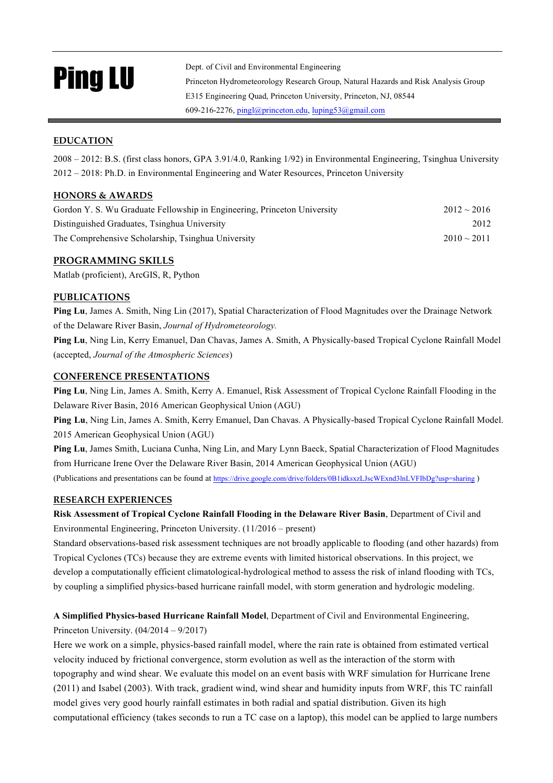# Ping LU

Dept. of Civil and Environmental Engineering Princeton Hydrometeorology Research Group, Natural Hazards and Risk Analysis Group E315 Engineering Quad, Princeton University, Princeton, NJ, 08544 609-216-2276, pingl@princeton.edu, luping53@gmail.com

# **EDUCATION**

2008 – 2012: B.S. (first class honors, GPA 3.91/4.0, Ranking 1/92) in Environmental Engineering, Tsinghua University 2012 – 2018: Ph.D. in Environmental Engineering and Water Resources, Princeton University

## **HONORS & AWARDS**

| Gordon Y. S. Wu Graduate Fellowship in Engineering, Princeton University | $2012 \sim 2016$ |
|--------------------------------------------------------------------------|------------------|
| Distinguished Graduates, Tsinghua University                             | 2012             |
| The Comprehensive Scholarship, Tsinghua University                       | $2010 \sim 2011$ |

## **PROGRAMMING SKILLS**

Matlab (proficient), ArcGIS, R, Python

# **PUBLICATIONS**

**Ping Lu**, James A. Smith, Ning Lin (2017), Spatial Characterization of Flood Magnitudes over the Drainage Network of the Delaware River Basin, *Journal of Hydrometeorology.*

**Ping Lu**, Ning Lin, Kerry Emanuel, Dan Chavas, James A. Smith, A Physically-based Tropical Cyclone Rainfall Model (accepted, *Journal of the Atmospheric Sciences*)

## **CONFERENCE PRESENTATIONS**

**Ping Lu**, Ning Lin, James A. Smith, Kerry A. Emanuel, Risk Assessment of Tropical Cyclone Rainfall Flooding in the Delaware River Basin, 2016 American Geophysical Union (AGU)

**Ping Lu**, Ning Lin, James A. Smith, Kerry Emanuel, Dan Chavas. A Physically-based Tropical Cyclone Rainfall Model. 2015 American Geophysical Union (AGU)

**Ping Lu**, James Smith, Luciana Cunha, Ning Lin, and Mary Lynn Baeck, Spatial Characterization of Flood Magnitudes from Hurricane Irene Over the Delaware River Basin, 2014 American Geophysical Union (AGU) (Publications and presentations can be found at https://drive.google.com/drive/folders/0B1idksxzLJscWExnd3lnLVFIbDg?usp=sharing )

### **RESEARCH EXPERIENCES**

**Risk Assessment of Tropical Cyclone Rainfall Flooding in the Delaware River Basin**, Department of Civil and Environmental Engineering, Princeton University. (11/2016 – present)

Standard observations-based risk assessment techniques are not broadly applicable to flooding (and other hazards) from Tropical Cyclones (TCs) because they are extreme events with limited historical observations. In this project, we develop a computationally efficient climatological-hydrological method to assess the risk of inland flooding with TCs, by coupling a simplified physics-based hurricane rainfall model, with storm generation and hydrologic modeling.

**A Simplified Physics-based Hurricane Rainfall Model**, Department of Civil and Environmental Engineering, Princeton University. (04/2014 – 9/2017)

Here we work on a simple, physics-based rainfall model, where the rain rate is obtained from estimated vertical velocity induced by frictional convergence, storm evolution as well as the interaction of the storm with topography and wind shear. We evaluate this model on an event basis with WRF simulation for Hurricane Irene (2011) and Isabel (2003). With track, gradient wind, wind shear and humidity inputs from WRF, this TC rainfall model gives very good hourly rainfall estimates in both radial and spatial distribution. Given its high computational efficiency (takes seconds to run a TC case on a laptop), this model can be applied to large numbers